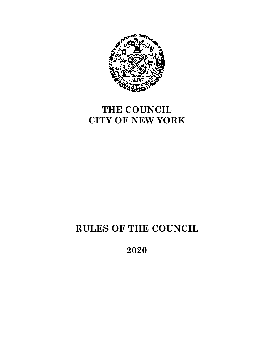

# **THE COUNCIL CITY OF NEW YORK**

# **RULES OF THE COUNCIL**

**2020**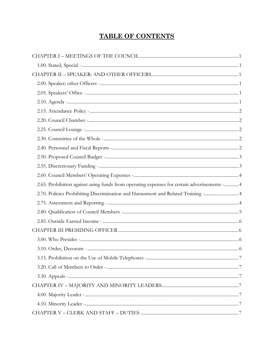# **TABLE OF CONTENTS**

| 2.65. Prohibition against using funds from operating expenses for certain advertisements -  4 |  |
|-----------------------------------------------------------------------------------------------|--|
| 2.70. Policies Prohibiting Discrimination and Harassment and Related Training - 4             |  |
|                                                                                               |  |
|                                                                                               |  |
|                                                                                               |  |
|                                                                                               |  |
|                                                                                               |  |
|                                                                                               |  |
|                                                                                               |  |
|                                                                                               |  |
|                                                                                               |  |
|                                                                                               |  |
|                                                                                               |  |
|                                                                                               |  |
|                                                                                               |  |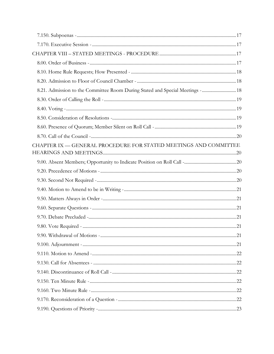| 8.21. Admission to the Committee Room During Stated and Special Meetings -  18 |  |
|--------------------------------------------------------------------------------|--|
|                                                                                |  |
|                                                                                |  |
|                                                                                |  |
|                                                                                |  |
|                                                                                |  |
| CHAPTER IX — GENERAL PROCEDURE FOR STATED MEETINGS AND COMMITTEE               |  |
|                                                                                |  |
|                                                                                |  |
|                                                                                |  |
|                                                                                |  |
|                                                                                |  |
|                                                                                |  |
|                                                                                |  |
|                                                                                |  |
|                                                                                |  |
|                                                                                |  |
|                                                                                |  |
|                                                                                |  |
|                                                                                |  |
|                                                                                |  |
|                                                                                |  |
|                                                                                |  |
|                                                                                |  |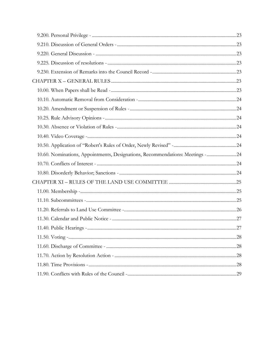| 10.60. Nominations, Appointments, Designations, Recommendations: Meetings - 24 |  |
|--------------------------------------------------------------------------------|--|
|                                                                                |  |
|                                                                                |  |
|                                                                                |  |
|                                                                                |  |
|                                                                                |  |
|                                                                                |  |
|                                                                                |  |
|                                                                                |  |
|                                                                                |  |
|                                                                                |  |
|                                                                                |  |
|                                                                                |  |
|                                                                                |  |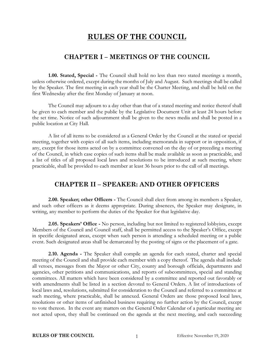# **RULES OF THE COUNCIL**

#### **CHAPTER I – MEETINGS OF THE COUNCIL**

<span id="page-5-1"></span><span id="page-5-0"></span>**1.00. Stated, Special -** The Council shall hold no less than two stated meetings a month, unless otherwise ordered, except during the months of July and August. Such meetings shall be called by the Speaker. The first meeting in each year shall be the Charter Meeting, and shall be held on the first Wednesday after the first Monday of January at noon.

The Council may adjourn to a day other than that of a stated meeting and notice thereof shall be given to each member and the public by the Legislative Document Unit at least 24 hours before the set time. Notice of such adjournment shall be given to the news media and shall be posted in a public location at City Hall.

A list of all items to be considered as a General Order by the Council at the stated or special meeting, together with copies of all such items, including memoranda in support or in opposition, if any, except for those items acted on by a committee convened on the day of or preceding a meeting of the Council, in which case copies of such items shall be made available as soon as practicable, and a list of titles of all proposed local laws and resolutions to be introduced at such meeting, where practicable, shall be provided to each member at least 36 hours prior to the call of all meetings.

#### **CHAPTER II – SPEAKER: AND OTHER OFFICERS**

<span id="page-5-3"></span><span id="page-5-2"></span>**2.00. Speaker; other Officers -** The Council shall elect from among its members a Speaker, and such other officers as it deems appropriate. During absences, the Speaker may designate, in writing, any member to perform the duties of the Speaker for that legislative day.

<span id="page-5-4"></span>**2.05. Speakers' Office -** No person, including but not limited to registered lobbyists, except Members of the Council and Council staff, shall be permitted access to the Speaker's Office, except in specific designated areas, except when such person is attending a scheduled meeting or a public event. Such designated areas shall be demarcated by the posting of signs or the placement of a gate.

<span id="page-5-5"></span>**2.10. Agenda -** The Speaker shall compile an agenda for each stated, charter and special meeting of the Council and shall provide each member with a copy thereof. The agenda shall include all vetoes, messages from the Mayor or other City, county and borough officials, departments and agencies, other petitions and communications, and reports of subcommittees, special and standing committees. All matters which have been considered by a committee and reported out favorably or with amendments shall be listed in a section devoted to General Orders. A list of introductions of local laws and, resolutions, submitted for consideration to the Council and referred to a committee at such meeting, where practicable, shall be annexed. General Orders are those proposed local laws, resolutions or other items of unfinished business requiring no further action by the Council, except to vote thereon. In the event any matters on the General Order Calendar of a particular meeting are not acted upon, they shall be continued on the agenda at the next meeting, and each succeeding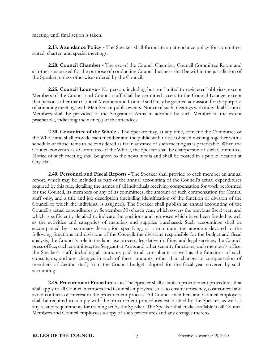meeting until final action is taken.

<span id="page-6-0"></span>**2.15. Attendance Policy -** The Speaker shall formulate an attendance policy for committee, stated, charter, and special meetings.

<span id="page-6-1"></span>**2.20. Council Chamber -** The use of the Council Chamber, Council Committee Room and all other space used for the purpose of conducting Council business shall be within the jurisdiction of the Speaker, unless otherwise ordered by the Council.

<span id="page-6-2"></span>**2.25. Council Lounge -** No person, including but not limited to registered lobbyists, except Members of the Council and Council staff, shall be permitted access to the Council Lounge, except that persons other than Council Members and Council staff may be granted admission for the purpose of attending meetings with Members or public events. Notice of such meetings with individual Council Members shall be provided to the Sergeant-at-Arms in advance by such Member to the extent practicable, indicating the name(s) of the attendees.

<span id="page-6-3"></span>**2.30. Committee of the Whole -** The Speaker may, at any time, convene the Committee of the Whole and shall provide each member and the public with notice of such meeting together with a schedule of those items to be considered as far in advance of such meeting as is practicable. When the Council convenes as a Committee of the Whole, the Speaker shall be chairperson of such Committee. Notice of such meeting shall be given to the news media and shall be posted in a public location at City Hall.

<span id="page-6-4"></span>**2.40. Personnel and Fiscal Reports -** The Speaker shall provide to each member an annual report, which may be included as part of the annual accounting of the Council's actual expenditures required by this rule, detailing the names of all individuals receiving compensation for work performed for the Council, its members or any of its committees, the amount of such compensation for Central staff only, and a title and job description (including identification of the function or division of the Council to which the individual is assigned). The Speaker shall publish an annual accounting of the Council's actual expenditures by September 30 of each year, which covers the previous fiscal year, and which is sufficiently detailed to indicate the positions and purposes which have been funded as well as the activities and categories of materials and supplies purchased. Such accountings shall be accompanied by a summary description specifying, at a minimum, the amounts devoted to the following functions and divisions of the Council: the divisions responsible for the budget and fiscal analysis, the Council's role in the land use process, legislative drafting, and legal services; the Council press office; each committee; the Sergeant at Arms and other security functions; each member's office; the Speaker's staff, including all amounts paid to all consultants as well as the functions of such consultants; and any changes in each of these amounts, other than changes in compensation of members of Central staff, from the Council budget adopted for the fiscal year covered by such accounting.

**2.45. Procurement Procedures - a.** The Speaker shall establish procurement procedures that shall apply to all Council members and Council employees, so as to ensure efficiency, cost control and avoid conflicts of interest in the procurement process. All Council members and Council employees shall be required to comply with the procurement procedures established by the Speaker, as well as any related requirements for training set by the Speaker. The Speaker shall make available to all Council Members and Council employees a copy of such procedures and any changes thereto.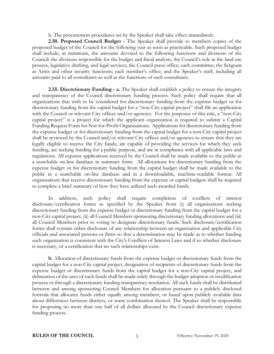b. The procurement procedures set by the Speaker shall take effect immediately.

<span id="page-7-0"></span>**2.50. Proposed Council Budget -** The Speaker shall provide to members copies of the proposed budget of the Council for the following year as soon as practicable. Such proposed budget shall include, at minimum, the amounts devoted to the following functions and divisions of the Council: the divisions responsible for the budget and fiscal analysis, the Council's role in the land use process, legislative drafting, and legal services; the Council press office; each committee; the Sergeant at Arms and other security functions; each member's office; and the Speaker's staff, including all amounts paid to all consultants as well as the functions of such consultants.

<span id="page-7-1"></span>**2.55. Discretionary Funding - a.** The Speaker shall establish a policy to ensure the integrity and transparency of the Council discretionary funding process. Such policy shall require that all organizations that wish to be considered for discretionary funding from the expense budget or for discretionary funding from the capital budget for a "non-City capital project" shall file an application with the Council or relevant City offices and/or agencies. For the purposes of this rule, a "non-City capital project" is a project for which the applicant organization is required to submit a Capital Funding Request Form for Not-for-Profit Organizations. Applications for discretionary funding from the expense budget or for discretionary funding from the capital budget for a non-City capital project shall be reviewed by the Council and/or relevant City offices and/or agencies to ensure that they are legally eligible to receive the City funds, are capable of providing the services for which they seek funding, are seeking funding for a public purpose, and are in compliance with all applicable laws and regulations. All expense applications received by the Council shall be made available to the public in a searchable on-line database in summary form. All allocations for discretionary funding from the expense budget or for discretionary funding from the capital budget shall be made available to the public in a searchable on-line database and in a downloadable, machine-readable format. All organizations that receive discretionary funding from the expense or capital budgets shall be required to complete a brief summary of how they have utilized such awarded funds.

In addition, such policy shall require completion of conflicts of interest disclosure/certification forms as specified by the Speaker from (i) all organizations seeking discretionary funding from the expense budget or discretionary funding from the capital budget for a non-City capital project, (ii) all Council Members sponsoring discretionary funding allocations and (iii) all Council Members prior to voting to designate discretionary funds. Such disclosure/certification forms shall contain either disclosure of any relationship between an organization and applicable City officials and associated persons or firms so that a determination may be made as to whether funding such organization is consistent with the City's Conflicts of Interest Laws and if so whether disclosure is necessary, or a certification that no such relationships exist.

**b.** Allocation of discretionary funds from the expense budget or discretionary funds from the capital budget for a non-City capital project, designation of recipients of discretionary funds from the expense budget or discretionary funds from the capital budget for a non-City capital project, and delineation of the uses of such funds shall be made solely through the budget adoption or modification process or through a discretionary funding transparency resolution. All such funds shall be distributed between and among sponsoring Council Members for allocation pursuant to a publicly disclosed formula that allocates funds either equally among members, or based upon publicly available data about differences between districts, or some combination thereof. The Speaker shall be responsible for proposing no more than one half of all dollars allocated by the Council discretionary expense funding process.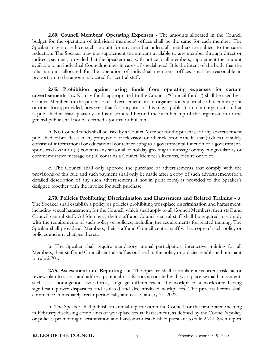<span id="page-8-0"></span>**2.60. Council Members' Operating Expenses -** The amounts allocated in the Council budget for the operation of individual members' offices shall be the same for each member. The Speaker may not reduce such amount for any member unless all members are subject to the same reduction. The Speaker may not supplement the amount available to any member through direct or indirect payment, provided that the Speaker may, with notice to all members, supplement the amount available to an individual Councilmember in cases of special need. It is the intent of the body that the total amount allocated for the operation of individual members' offices shall be reasonable in proportion to the amount allocated for central staff.

<span id="page-8-1"></span>**2.65. Prohibition against using funds from operating expenses for certain advertisements - a.** No city funds appropriated to the Council ("Council funds") shall be used by a Council Member for the purchase of advertisements in an organization's journal or bulletin in print or other form; provided, however, that for purposes of this rule, a publication of an organization that is published at least quarterly and is distributed beyond the membership of the organization to the general public shall not be deemed a journal or bulletin.

**b.** No Council funds shall be used by a Council Member for the purchase of any advertisement published or broadcast in any print, radio or television or other electronic media that (i) does not solely consist of informational or educational content relating to a governmental function or a governmentsponsored event or (ii) contains any seasonal or holiday greeting or message or any congratulatory or commemorative message or (iii) contains a Council Member's likeness, picture or voice.

**c.** The Council shall only approve the purchase of advertisements that comply with the provisions of this rule and such payment shall only be made after a copy of such advertisement (or a detailed description of any such advertisement if not in print form) is provided to the Speaker's designee together with the invoice for such purchase.

<span id="page-8-2"></span>**2.70. Policies Prohibiting Discrimination and Harassment and Related Training - a**. The Speaker shall establish a policy or policies prohibiting workplace discrimination and harassment, including sexual harassment, for the Council, which shall apply to all Council Members, their staff and Council central staff. All Members, their staff and Council central staff shall be required to comply with the requirements of such policy or policies, including the requirements for related training. The Speaker shall provide all Members, their staff and Council central staff with a copy of such policy or policies and any changes thereto.

**b**. The Speaker shall require mandatory annual participatory interactive training for all Members, their staff and Council central staff as outlined in the policy or policies established pursuant to rule 2.70a.

<span id="page-8-3"></span>**2.75. Assessment and Reporting - a**. The Speaker shall formulate a recurrent risk factor review plan to assess and address potential risk factors associated with workplace sexual harassment, such as a homogenous workforce, language differences in the workplace, a workforce having significant power disparities and isolated and decentralized workplaces. The process herein shall commence immediately, recur periodically and cease January 31, 2022.

**b.** The Speaker shall publish an annual report within the Council for the first Stated meeting in February disclosing complaints of workplace sexual harassment, as defined by the Council's policy or policies prohibiting discrimination and harassment established pursuant to rule 2.70a. Such report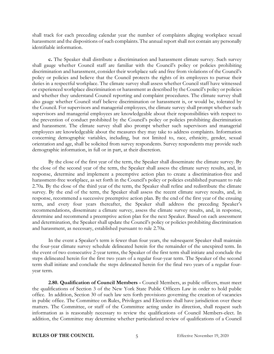shall track for each preceding calendar year the number of complaints alleging workplace sexual harassment and the dispositions of such complaints. The annual report shall not contain any personally identifiable information.

**c.** The Speaker shall distribute a discrimination and harassment climate survey. Such survey shall gauge whether Council staff are familiar with the Council's policy or policies prohibiting discrimination and harassment, consider their workplace safe and free from violations of the Council's policy or policies and believe that the Council protects the rights of its employees to pursue their duties in a respectful workplace. The climate survey shall assess whether Council staff have witnessed or experienced workplace discrimination or harassment as described by the Council's policy or policies and whether they understand Council reporting and complaint procedures. The climate survey shall also gauge whether Council staff believe discrimination or harassment is, or would be, tolerated by the Council. For supervisors and managerial employees, the climate survey shall prompt whether such supervisors and managerial employees are knowledgeable about their responsibilities with respect to the prevention of conduct prohibited by the Council's policy or policies prohibiting discrimination and harassment. The climate survey shall also prompt whether such supervisors and managerial employees are knowledgeable about the measures they may take to address complaints. Information concerning demographic variables, including, but not limited to, race, ethnicity, gender, sexual orientation and age, shall be solicited from survey respondents. Survey respondents may provide such demographic information, in full or in part, at their discretion.

By the close of the first year of the term, the Speaker shall disseminate the climate survey. By the close of the second year of the term, the Speaker shall assess the climate survey results, and, in response, determine and implement a preemptive action plan to create a discrimination-free and harassment-free workplace, as set forth in the Council's policy or policies established pursuant to rule 2.70a. By the close of the third year of the term, the Speaker shall refine and redistribute the climate survey. By the end of the term, the Speaker shall assess the recent climate survey results, and, in response, recommend a successive preemptive action plan. By the end of the first year of the ensuing term, and every four years thereafter, the Speaker shall address the preceding Speaker's recommendations, disseminate a climate survey, assess the climate survey results, and, in response, determine and recommend a preemptive action plan for the next Speaker. Based on each assessment and determination, the Speaker shall update the Council's policy or policies prohibiting discrimination and harassment, as necessary, established pursuant to rule 2.70a.

In the event a Speaker's term is fewer than four years, the subsequent Speaker shall maintain the four-year climate survey schedule delineated herein for the remainder of the unexpired term. In the event of two consecutive 2-year terms, the Speaker of the first term shall initiate and conclude the steps delineated herein for the first two years of a regular four-year term. The Speaker of the second term shall initiate and conclude the steps delineated herein for the final two years of a regular fouryear term.

<span id="page-9-0"></span>**2.80. Qualification of Council Members -** Council Members, as public officers, must meet the qualifications of Section 3 of the New York State Public Officers Law in order to hold public office. In addition, Section 30 of such law sets forth provisions governing the creation of vacancies in public office. The Committee on Rules, Privileges and Elections shall have jurisdiction over these matters. The Committee, or staff of the Committee acting under its direction, shall request such information as is reasonably necessary to review the qualifications of Council Members-elect. In addition, the Committee may determine whether particularized review of qualifications of a Council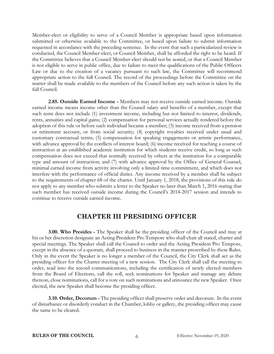Member-elect or eligibility to serve of a Council Member is appropriate based upon information submitted or otherwise available to the Committee, or based upon failure to submit information requested in accordance with the preceding sentence. In the event that such a particularized review is conducted, the Council Member-elect, or Council Member, shall be afforded the right to be heard. If the Committee believes that a Council Member-elect should not be seated, or that a Council Member is not eligible to serve in public office, due to failure to meet the qualifications of the Public Officers Law or due to the creation of a vacancy pursuant to such law, the Committee will recommend appropriate action to the full Council. The record of the proceedings before the Committee on the matter shall be made available to the members of the Council before any such action is taken by the full Council.

<span id="page-10-0"></span>**2.85. Outside Earned Income -** Members may not receive outside earned income. Outside earned income means income other than the Council salary and benefits of a member, except that such term does not include (1) investment income, including but not limited to interest, dividends, rents, annuities and capital gains; (2) compensation for personal services actually rendered before the adoption of this rule or before such individual became a member; (3) income received from a pension or retirement account, or from social security; (4) copyright royalties received under usual and customary contractual terms; (5) compensation for speaking engagements or artistic performance, with advance approval by the conflicts of interest board; (6) income received for teaching a course of instruction at an established academic institution for which students receive credit, so long as such compensation does not exceed that normally received by others at the institution for a comparable type and amount of instruction; and (7) with advance approval by the Office of General Counsel, minimal earned income from activity involving only a limited time commitment, and which does not interfere with the performance of official duties. Any income received by a member shall be subject to the requirements of chapter 68 of the charter. Until January 1, 2018, the provisions of this rule do not apply to any member who submits a letter to the Speaker no later than March 1, 2016 stating that such member has received outside income during the Council's 2014-2017 session and intends to continue to receive outside earned income.

#### **CHAPTER III PRESIDING OFFICER**

<span id="page-10-2"></span><span id="page-10-1"></span>**3.00. Who Presides -** The Speaker shall be the presiding officer of the Council and may at his or her discretion designate an Acting President Pro Tempore who shall chair all stated, charter and special meetings. The Speaker shall call the Council to order and the Acting President Pro Tempore, except in the absence of a quorum, shall proceed to business in the manner prescribed by these Rules. Only in the event the Speaker is no longer a member of the Council, the City Clerk shall act as the presiding officer for the Charter meeting of a new session. The City Clerk shall call the meeting to order, read into the record communications, including the certification of newly elected members from the Board of Elections, call the roll, seek nominations for Speaker and manage any debate thereon, close nominations, call for a vote on such nominations and announce the new Speaker. Once elected, the new Speaker shall become the presiding officer.

<span id="page-10-3"></span>**3.10. Order, Decorum -** The presiding officer shall preserve order and decorum. In the event of disturbance or disorderly conduct in the Chamber, lobby or gallery, the presiding officer may cause the same to be cleared.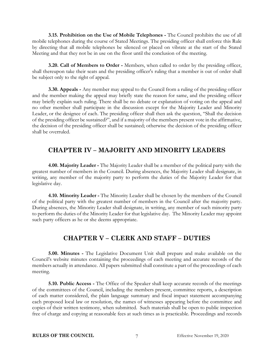<span id="page-11-0"></span>**3.15. Prohibition on the Use of Mobile Telephones -** The Council prohibits the use of all mobile telephones during the course of Stated Meetings. The presiding officer shall enforce this Rule by directing that all mobile telephones be silenced or placed on vibrate at the start of the Stated Meeting and that they not be in use on the floor until the conclusion of the meeting.

<span id="page-11-1"></span>**3.20. Call of Members to Order -** Members, when called to order by the presiding officer, shall thereupon take their seats and the presiding officer's ruling that a member is out of order shall be subject only to the right of appeal.

<span id="page-11-2"></span>**3.30. Appeals -** Any member may appeal to the Council from a ruling of the presiding officer and the member making the appeal may briefly state the reason for same, and the presiding officer may briefly explain such ruling. There shall be no debate or explanation of voting on the appeal and no other member shall participate in the discussion except for the Majority Leader and Minority Leader, or the designee of each. The presiding officer shall then ask the question, "Shall the decision of the presiding officer be sustained?", and if a majority of the members present vote in the affirmative, the decision of the presiding officer shall be sustained; otherwise the decision of the presiding officer shall be overruled.

#### **CHAPTER IV – MAJORITY AND MINORITY LEADERS**

<span id="page-11-4"></span><span id="page-11-3"></span>**4.00. Majority Leader -** The Majority Leader shall be a member of the political party with the greatest number of members in the Council. During absences, the Majority Leader shall designate, in writing, any member of the majority party to perform the duties of the Majority Leader for that legislative day.

<span id="page-11-5"></span>**4.10. Minority Leader -** The Minority Leader shall be chosen by the members of the Council of the political party with the greatest number of members in the Council after the majority party. During absences, the Minority Leader shall designate, in writing, any member of such minority party to perform the duties of the Minority Leader for that legislative day. The Minority Leader may appoint such party officers as he or she deems appropriate.

### **CHAPTER V – CLERK AND STAFF – DUTIES**

<span id="page-11-7"></span><span id="page-11-6"></span>**5.00. Minutes -** The Legislative Document Unit shall prepare and make available on the Council's website minutes containing the proceedings of each meeting and accurate records of the members actually in attendance. All papers submitted shall constitute a part of the proceedings of each meeting.

<span id="page-11-8"></span>**5.10. Public Access -** The Office of the Speaker shall keep accurate records of the meetings of the committees of the Council, including the members present, committee reports, a description of each matter considered, the plain language summary and fiscal impact statement accompanying each proposed local law or resolution, the names of witnesses appearing before the committee and copies of their written testimony, when submitted. Such materials shall be open to public inspection free of charge and copying at reasonable fees at such times as is practicable. Proceedings and records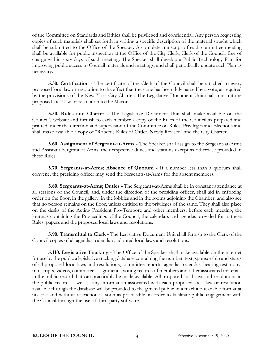of the Committee on Standards and Ethics shall be privileged and confidential. Any person requesting copies of such materials shall set forth in writing a specific description of the material sought which shall be submitted to the Office of the Speaker. A complete transcript of each committee meeting shall be available for public inspection at the Office of the City Clerk, Clerk of the Council, free of charge within sixty days of such meeting. The Speaker shall develop a Public Technology Plan for improving public access to Council materials and meetings, and shall periodically update such Plan as necessary.

<span id="page-12-0"></span>**5.30. Certification -** The certificate of the Clerk of the Council shall be attached to every proposed local law or resolution to the effect that the same has been duly passed by a vote, as required by the provisions of the New York City Charter. The Legislative Document Unit shall transmit the proposed local law or resolution to the Mayor.

<span id="page-12-1"></span>**5.50. Rules and Charter -** The Legislative Document Unit shall make available on the Council's website and furnish to each member a copy of the Rules of the Council as prepared and printed under the direction and supervision of the Committee on Rules, Privileges and Elections and shall make available a copy of "Robert's Rules of Order, Newly Revised" and the City Charter.

<span id="page-12-2"></span>**5.60. Assignment of Sergeant-at-Arms -** The Speaker shall assign to the Sergeant-at-Arms and Assistant Sergeant-at-Arms, their respective duties and stations except as otherwise provided in these Rules.

<span id="page-12-3"></span>**5.70. Sergeants-at-Arms; Absence of Quorum -** If a number less than a quorum shall convene, the presiding officer may send the Sergeants-at-Arms for the absent members.

<span id="page-12-4"></span>**5.80. Sergeants-at-Arms; Duties -** The Sergeants-at-Arms shall be in constant attendance at all sessions of the Council, and, under the direction of the presiding officer, shall aid in enforcing order on the floor, in the gallery, in the lobbies and in the rooms adjoining the Chamber, and also see that no person remains on the floor, unless entitled to the privileges of the same. They shall also place on the desks of the Acting President Pro-Tempore and other members, before each meeting, the journals containing the Proceedings of the Council, the calendars and agendas provided for in these Rules, papers and the proposed local laws and resolutions.

<span id="page-12-5"></span>**5.90. Transmittal to Clerk -** The Legislative Document Unit shall furnish to the Clerk of the Council copies of all agendas, calendars, adopted local laws and resolutions.

<span id="page-12-6"></span>**5.110. Legislative Tracking -** The Office of the Speaker shall make available on the internet for use by the public a legislative tracking database containing the number, text, sponsorship and status of all proposed local laws and resolutions, committee reports, agendas, calendar, hearing testimony, transcripts, videos, committee assignments, voting records of members and other associated materials in the public record that can practicably be made available. All proposed local laws and resolutions in the public record as well as any information associated with each proposed local law or resolution available through the database will be provided to the general public in a machine-readable format at no cost and without restriction as soon as practicable, in order to facilitate public engagement with the Council through the use of third-party software.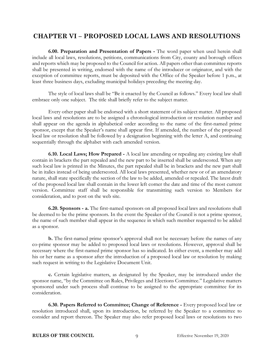# <span id="page-13-0"></span>**CHAPTER VI – PROPOSED LOCAL LAWS AND RESOLUTIONS**

<span id="page-13-1"></span>**6.00. Preparation and Presentation of Papers -** The word paper when used herein shall include all local laws, resolutions, petitions, communications from City, county and borough offices and reports which may be proposed to the Council for action. All papers other than committee reports shall be presented in writing, endorsed with the name of the introducer or originator, and with the exception of committee reports, must be deposited with the Office of the Speaker before 1 p.m., at least three business days, excluding municipal holidays preceding the meeting day.

The style of local laws shall be "Be it enacted by the Council as follows." Every local law shall embrace only one subject. The title shall briefly refer to the subject matter.

Every other paper shall be endorsed with a short statement of its subject matter. All proposed local laws and resolutions are to be assigned a chronological introduction or resolution number and shall appear on the agenda in alphabetical order according to the name of the first-named prime sponsor, except that the Speaker's name shall appear first. If amended, the number of the proposed local law or resolution shall be followed by a designation beginning with the letter A, and continuing sequentially through the alphabet with each amended version.

<span id="page-13-2"></span>**6.10. Local Laws; How Prepared -** A local law amending or repealing any existing law shall contain in brackets the part repealed and the new part to be inserted shall be underscored. When any such local law is printed in the Minutes, the part repealed shall be in brackets and the new part shall be in italics instead of being underscored. All local laws presented, whether new or of an amendatory nature, shall state specifically the section of the law to be added, amended or repealed. The latest draft of the proposed local law shall contain in the lower left corner the date and time of the most current version. Committee staff shall be responsible for transmitting such version to Members for consideration, and to post on the web site.

<span id="page-13-3"></span>**6.20. Sponsors - a.** The first-named sponsors on all proposed local laws and resolutions shall be deemed to be the prime sponsors. In the event the Speaker of the Council is not a prime sponsor, the name of such member shall appear in the sequence in which such member requested to be added as a sponsor.

**b.** The first-named prime sponsor's approval shall not be necessary before the names of any co-prime sponsor may be added to proposed local laws or resolutions. However, approval shall be necessary where the first-named prime sponsor has so indicated. In either event, a member may add his or her name as a sponsor after the introduction of a proposed local law or resolution by making such request in writing to the Legislative Document Unit.

**c.** Certain legislative matters, as designated by the Speaker, may be introduced under the sponsor name, "by the Committee on Rules, Privileges and Elections Committee." Legislative matters sponsored under such process shall continue to be assigned to the appropriate committee for its consideration.

<span id="page-13-4"></span>**6.30. Papers Referred to Committee; Change of Reference -** Every proposed local law or resolution introduced shall, upon its introduction, be referred by the Speaker to a committee to consider and report thereon. The Speaker may also refer proposed local laws or resolutions to two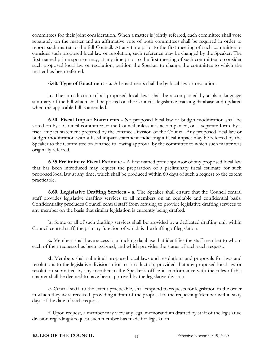committees for their joint consideration. When a matter is jointly referred, each committee shall vote separately on the matter and an affirmative vote of both committees shall be required in order to report such matter to the full Council. At any time prior to the first meeting of such committee to consider such proposed local law or resolution, such reference may be changed by the Speaker. The first-named prime sponsor may, at any time prior to the first meeting of such committee to consider such proposed local law or resolution, petition the Speaker to change the committee to which the matter has been referred.

**6.40. Type of Enactment - a.** All enactments shall be by local law or resolution.

<span id="page-14-0"></span>**b.** The introduction of all proposed local laws shall be accompanied by a plain language summary of the bill which shall be posted on the Council's legislative tracking database and updated when the applicable bill is amended.

<span id="page-14-1"></span>**6.50. Fiscal Impact Statements -** No proposed local law or budget modification shall be voted on by a Council committee or the Council unless it is accompanied, on a separate form, by a fiscal impact statement prepared by the Finance Division of the Council. Any proposed local law or budget modification with a fiscal impact statement indicating a fiscal impact may be referred by the Speaker to the Committee on Finance following approval by the committee to which such matter was originally referred.

**6.55 Preliminary Fiscal Estimate -** A first named prime sponsor of any proposed local law that has been introduced may request the preparation of a preliminary fiscal estimate for such proposed local law at any time, which shall be produced within 60 days of such a request to the extent practicable.

<span id="page-14-2"></span>**6.60. Legislative Drafting Services - a.** The Speaker shall ensure that the Council central staff provides legislative drafting services to all members on an equitable and confidential basis. Confidentiality precludes Council central staff from refusing to provide legislative drafting services to any member on the basis that similar legislation is currently being drafted.

**b.** Some or all of such drafting services shall be provided by a dedicated drafting unit within Council central staff, the primary function of which is the drafting of legislation.

**c.** Members shall have access to a tracking database that identifies the staff member to whom each of their requests has been assigned, and which provides the status of each such request.

**d.** Members shall submit all proposed local laws and resolutions and proposals for laws and resolutions to the legislative division prior to introduction; provided that any proposed local law or resolution submitted by any member to the Speaker's office in conformance with the rules of this chapter shall be deemed to have been approved by the legislative division.

**e.** Central staff, to the extent practicable, shall respond to requests for legislation in the order in which they were received, providing a draft of the proposal to the requesting Member within sixty days of the date of such request.

**f.** Upon request, a member may view any legal memorandum drafted by staff of the legislative division regarding a request such member has made for legislation.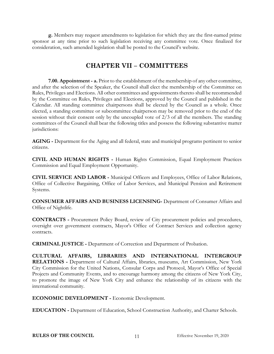<span id="page-15-0"></span>**g.** Members may request amendments to legislation for which they are the first-named prime sponsor at any time prior to such legislation receiving any committee vote. Once finalized for consideration, such amended legislation shall be posted to the Council's website.

### **CHAPTER VII – COMMITTEES**

<span id="page-15-1"></span>**7.00. Appointment - a.** Prior to the establishment of the membership of any other committee, and after the selection of the Speaker, the Council shall elect the membership of the Committee on Rules, Privileges and Elections. All other committees and appointments thereto shall be recommended by the Committee on Rules, Privileges and Elections, approved by the Council and published in the Calendar. All standing committee chairpersons shall be elected by the Council as a whole. Once elected, a standing committee or subcommittee chairperson may be removed prior to the end of the session without their consent only by the uncoupled vote of 2/3 of all the members. The standing committees of the Council shall bear the following titles and possess the following substantive matter jurisdictions:

**AGING -** Department for the Aging and all federal, state and municipal programs pertinent to senior citizens.

**CIVIL AND HUMAN RIGHTS -** Human Rights Commission, Equal Employment Practices Commission and Equal Employment Opportunity.

**CIVIL SERVICE AND LABOR -** Municipal Officers and Employees, Office of Labor Relations, Office of Collective Bargaining, Office of Labor Services, and Municipal Pension and Retirement Systems.

**CONSUMER AFFAIRS AND BUSINESS LICENSING-** Department of Consumer Affairs and Office of Nightlife.

**CONTRACTS -** Procurement Policy Board, review of City procurement policies and procedures, oversight over government contracts, Mayor's Office of Contract Services and collection agency contracts.

**CRIMINAL JUSTICE -** Department of Correction and Department of Probation.

**CULTURAL AFFAIRS, LIBRARIES AND INTERNATIONAL INTERGROUP RELATIONS -** Department of Cultural Affairs, libraries, museums, Art Commission, New York City Commission for the United Nations, Consular Corps and Protocol, Mayor's Office of Special Projects and Community Events, and to encourage harmony among the citizens of New York City, to promote the image of New York City and enhance the relationship of its citizens with the international community.

**ECONOMIC DEVELOPMENT -** Economic Development.

**EDUCATION -** Department of Education, School Construction Authority, and Charter Schools.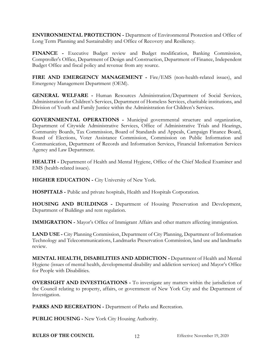**ENVIRONMENTAL PROTECTION -** Department of Environmental Protection and Office of Long Term Planning and Sustainability and Office of Recovery and Resiliency.

**FINANCE -** Executive Budget review and Budget modification, Banking Commission, Comptroller's Office, Department of Design and Construction, Department of Finance, Independent Budget Office and fiscal policy and revenue from any source.

**FIRE AND EMERGENCY MANAGEMENT -** Fire/EMS (non-health-related issues), and Emergency Management Department (OEM).

**GENERAL WELFARE -** Human Resources Administration/Department of Social Services, Administration for Children's Services, Department of Homeless Services, charitable institutions, and Division of Youth and Family Justice within the Administration for Children's Services.

**GOVERNMENTAL OPERATIONS -** Municipal governmental structure and organization, Department of Citywide Administrative Services, Office of Administrative Trials and Hearings, Community Boards, Tax Commission, Board of Standards and Appeals, Campaign Finance Board, Board of Elections, Voter Assistance Commission, Commission on Public Information and Communication, Department of Records and Information Services, Financial Information Services Agency and Law Department.

**HEALTH -** Department of Health and Mental Hygiene, Office of the Chief Medical Examiner and EMS (health-related issues).

**HIGHER EDUCATION -** City University of New York.

**HOSPITALS -** Public and private hospitals, Health and Hospitals Corporation.

**HOUSING AND BUILDINGS -** Department of Housing Preservation and Development, Department of Buildings and rent regulation.

**IMMIGRATION -** Mayor's Office of Immigrant Affairs and other matters affecting immigration.

**LAND USE -** City Planning Commission, Department of City Planning, Department of Information Technology and Telecommunications, Landmarks Preservation Commission, land use and landmarks review.

**MENTAL HEALTH, DISABILITIES AND ADDICTION -** Department of Health and Mental Hygiene (issues of mental health, developmental disability and addiction services) and Mayor's Office for People with Disabilities.

**OVERSIGHT AND INVESTIGATIONS -** To investigate any matters within the jurisdiction of the Council relating to property, affairs, or government of New York City and the Department of Investigation.

**PARKS AND RECREATION -** Department of Parks and Recreation.

**PUBLIC HOUSING -** New York City Housing Authority.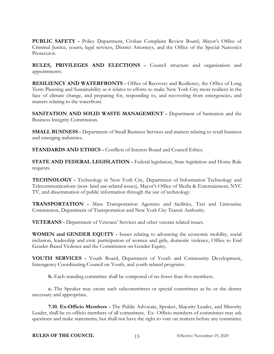**PUBLIC SAFETY -** Police Department, Civilian Complaint Review Board, Mayor's Office of Criminal Justice, courts, legal services, District Attorneys, and the Office of the Special Narcotics Prosecutor.

**RULES, PRIVILEGES AND ELECTIONS -** Council structure and organization and appointments.

**RESILIENCY AND WATERFRONTS -** Office of Recovery and Resiliency, the Office of Long Term Planning and Sustainability as it relates to efforts to make New York City more resilient in the face of climate change, and preparing for, responding to, and recovering from emergencies, and matters relating to the waterfront.

**SANITATION AND SOLID WASTE MANAGEMENT -** Department of Sanitation and the Business Integrity Commission.

**SMALL BUSINESS -** Department of Small Business Services and matters relating to retail business and emerging industries.

**STANDARDS AND ETHICS -** Conflicts of Interest Board and Council Ethics.

**STATE AND FEDERAL LEGISLATION -** Federal legislation, State legislation and Home Rule requests.

**TECHNOLOGY -** Technology in New York City, Department of Information Technology and Telecommunications (non- land use-related issues), Mayor's Office of Media & Entertainment, NYC TV, and dissemination of public information through the use of technology.

**TRANSPORTATION -** Mass Transportation Agencies and facilities, Taxi and Limousine Commission, Department of Transportation and New York City Transit Authority.

**VETERANS -** Department of Veterans' Services and other veteran related issues.

**WOMEN and GENDER EQUITY -** Issues relating to advancing the economic mobility, social inclusion, leadership and civic participation of women and girls, domestic violence, Office to End Gender-Based Violence and the Commission on Gender Equity.

**YOUTH SERVICES -** Youth Board, Department of Youth and Community Development, Interagency Coordinating Council on Youth, and youth related programs.

**b.** Each standing committee shall be composed of no fewer than five members.

**c.** The Speaker may create such subcommittees or special committees as he or she deems necessary and appropriate.

<span id="page-17-0"></span>**7.10. Ex-Officio Members -** The Public Advocate, Speaker, Majority Leader, and Minority Leader, shall be ex-officio members of all committees. Ex- Officio members of committees may ask questions and make statements, but shall not have the right to vote on matters before any committee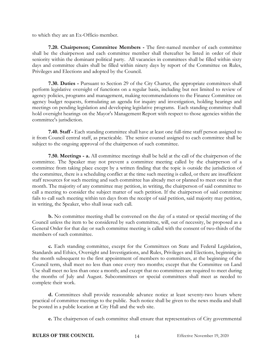to which they are an Ex-Officio member.

<span id="page-18-0"></span>**7.20. Chairperson; Committee Members -** The first-named member of each committee shall be the chairperson and each committee member shall thereafter be listed in order of their seniority within the dominant political party. All vacancies in committees shall be filled within sixty days and committee chairs shall be filled within ninety days by report of the Committee on Rules, Privileges and Elections and adopted by the Council.

<span id="page-18-1"></span>**7.30. Duties -** Pursuant to Section 29 of the City Charter, the appropriate committees shall perform legislative oversight of functions on a regular basis, including but not limited to review of agency policies, programs and management, making recommendations to the Finance Committee on agency budget requests, formulating an agenda for inquiry and investigation, holding hearings and meetings on pending legislation and developing legislative programs. Each standing committee shall hold oversight hearings on the Mayor's Management Report with respect to those agencies within the committee's jurisdiction.

<span id="page-18-2"></span>**7.40. Staff -** Each standing committee shall have at least one full-time staff person assigned to it from Council central staff, as practicable. The senior counsel assigned to each committee shall be subject to the ongoing approval of the chairperson of such committee.

<span id="page-18-3"></span>**7.50. Meetings - a.** All committee meetings shall be held at the call of the chairperson of the committee. The Speaker may not prevent a committee meeting called by the chairperson of a committee from taking place except by a written finding that the topic is outside the jurisdiction of the committee, there is a scheduling conflict at the time such meeting is called, or there are insufficient staff resources for such meeting and such committee has already met or planned to meet once in that month. The majority of any committee may petition, in writing, the chairperson of said committee to call a meeting to consider the subject matter of such petition. If the chairperson of said committee fails to call such meeting within ten days from the receipt of said petition, said majority may petition, in writing, the Speaker, who shall issue such call.

**b.** No committee meeting shall be convened on the day of a stated or special meeting of the Council unless the item to be considered by such committee, will, out of necessity, be proposed as a General Order for that day or such committee meeting is called with the consent of two-thirds of the members of such committee.

**c.** Each standing committee, except for the Committees on State and Federal Legislation, Standards and Ethics, Oversight and Investigations, and Rules, Privileges and Elections, beginning in the month subsequent to the first appointment of members to committees, at the beginning of the Council term, shall meet no less than once every two months; except that the Committee on Land Use shall meet no less than once a month; and except that no committees are required to meet during the months of July and August. Subcommittees or special committees shall meet as needed to complete their work.

**d.** Committees shall provide reasonable advance notice at least seventy-two hours where practical of committee meetings to the public. Such notice shall be given to the news media and shall be posted in a public location at City Hall and the web site.

**e.** The chairperson of each committee shall ensure that representatives of City governmental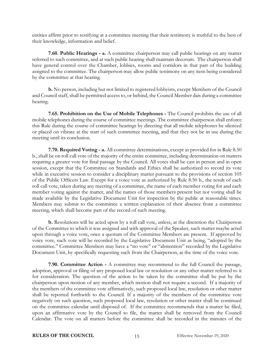entities affirm prior to testifying at a committee meeting that their testimony is truthful to the best of their knowledge, information and belief.

<span id="page-19-0"></span>**7.60. Public Hearings - a.** A committee chairperson may call public hearings on any matter referred to such committee, and at such public hearing shall maintain decorum. The chairperson shall have general control over the Chamber, lobbies, rooms and corridors in that part of the building assigned to the committee. The chairperson may allow public testimony on any item being considered by the committee at that hearing.

**b.** No person, including but not limited to registered lobbyists, except Members of the Council and Council staff, shall be permitted access to, or behind, the Council Member dais during a committee hearing.

**7.65. Prohibition on the Use of Mobile Telephones -** The Council prohibits the use of all mobile telephones during the course of committee meetings. The committee chairperson shall enforce this Rule during the course of committee hearings by directing that all mobile telephones be silenced or placed on vibrate at the start of such committee meeting, and that they not be in use during the meeting until its conclusion.

<span id="page-19-1"></span>**7.70. Required Voting - a.** All committee determinations, except as provided for in Rule 8.50 b., shall be on roll call vote of the majority of the entire committee, including determination on matters requiring a greater vote for final passage by the Council. All votes shall be cast in person and in open session, except that the Committee on Standards and Ethics shall be authorized to record its vote while in executive session to consider a disciplinary matter pursuant to the provisions of section 105 of the Public Officers Law. Except for a voice vote as authorized by Rule 8.50 b., the result of each roll call vote, taken during any meeting of a committee, the name of each member voting for and each member voting against the matter, and the names of those members present but not voting shall be made available by the Legislative Document Unit for inspection by the public at reasonable times. Members may submit to the committee a written explanation of their absence from a committee meeting, which shall become part of the record of such meeting.

**b.** Resolutions will be acted upon by a roll call vote, unless, at the discretion the Chairperson of the Committee to which it was assigned and with approval of the Speaker, such matter maybe acted upon through a voice vote, once a quorum of the Committee Members are present. If approved by voice vote, such vote will be recorded by the Legislative Document Unit as being, "adopted by the committee." Committee Members may have a "no vote" or "abstention" recorded by the Legislative Document Unit, by specifically requesting such from the Chairperson, at the time of the voice vote.

**7.90. Committee Action -** A committee may recommend to the full Council the passage, adoption, approval or filing of any proposed local law or resolution or any other matter referred to it for consideration. The question of the action to be taken by the committee shall be put by the chairperson upon motion of any member, which motion shall not require a second. If a majority of the members of the committee vote affirmatively, such proposed local law, resolution or other matter shall be reported forthwith to the Council. If a majority of the members of the committee vote negatively on such question, such proposed local law, resolution or other matter shall be continued on the committee calendar until disposed of. If the committee recommends that a matter be filed, upon an affirmative vote by the Council to file, the matter shall be removed from the Council Calendar. The vote on all matters before the committee shall be recorded in the minutes of the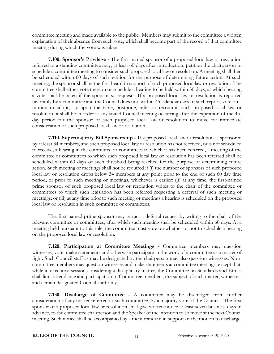committee meeting and made available to the public. Members may submit to the committee a written explanation of their absence from such vote, which shall become part of the record of that committee meeting during which the vote was taken.

<span id="page-20-0"></span>**7.100. Sponsor's Privilege -** The first-named sponsor of a proposed local law or resolution referred to a standing committee may, at least 60 days after introduction, petition the chairperson to schedule a committee meeting to consider such proposed local law or resolution. A meeting shall then be scheduled within 60 days of such petition for the purpose of determining future action. At such meeting, the sponsor shall be the first heard in support of such proposed local law or resolution. The committee shall either vote thereon or schedule a hearing to be held within 30 days, at which hearing a vote shall be taken if the sponsor so requests. If a proposed local law or resolution is reported favorably by a committee and the Council does not, within 45 calendar days of such report, vote on a motion to adopt, lay upon the table, postpone, refer or recommit such proposed local law or resolution, it shall be in order at any stated Council meeting occurring after the expiration of the 45 day period for the sponsor of such proposed local law or resolution to move for immediate consideration of such proposed local law or resolution.

<span id="page-20-1"></span>**7.110. Supermajority Bill Sponsorship -** If a proposed local law or resolution is sponsored by at least 34 members, and such proposed local law or resolution has not received, or is not scheduled to receive, a hearing in the committee or committees to which it has been referred, a meeting of the committee or committees to which such proposed local law or resolution has been referred shall be scheduled within 60 days of such threshold being reached for the purpose of determining future action. Such meeting or meetings shall not be required if (i) the number of sponsors of such proposed local law or resolution drops below 34 members at any point prior to the end of such 60 day time period, or prior to such meeting or meetings, whichever is earlier; (ii) at any time, the first-named prime sponsor of such proposed local law or resolution writes to the chair of the committee or committees to which such legislation has been referred requesting a deferral of such meeting or meetings; or (iii) at any time prior to such meeting or meetings a hearing is scheduled on the proposed local law or resolution in such committee or committees.

The first-named prime sponsor may retract a deferral request by writing to the chair of the relevant committee or committees, after which such meeting shall be scheduled within 60 days. At a meeting held pursuant to this rule, the committee must vote on whether or not to schedule a hearing on the proposed local law or resolution.

<span id="page-20-2"></span>**7.120. Participation at Committee Meetings -** Committee members may question witnesses, vote, make statements and otherwise participate in the work of a committee as a matter of right. Such Council staff as may be designated by the chairperson may also question witnesses. Noncommittee members may question witnesses and make statements at committee meetings, except that, while in executive session considering a disciplinary matter, the Committee on Standards and Ethics shall limit attendance and participation to Committee members, the subject of such matter, witnesses, and certain designated Council staff only.

<span id="page-20-3"></span>**7.130. Discharge of Committee -** A committee may be discharged from further consideration of any matter referred to such committee, by a majority vote of the Council. The first sponsor of a proposed local law or resolution shall give written notice at least seven business days in advance, to the committee chairperson and the Speaker of the intention to so move at the next Council meeting. Such notice shall be accompanied by a memorandum in support of the motion to discharge,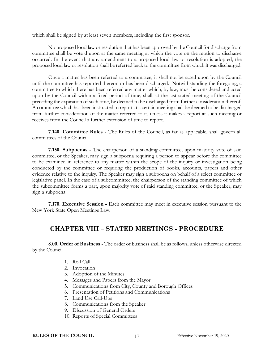which shall be signed by at least seven members, including the first sponsor.

No proposed local law or resolution that has been approved by the Council for discharge from committee shall be vote d upon at the same meeting at which the vote on the motion to discharge occurred. In the event that any amendment to a proposed local law or resolution is adopted, the proposed local law or resolution shall be referred back to the committee from which it was discharged.

Once a matter has been referred to a committee, it shall not be acted upon by the Council until the committee has reported thereon or has been discharged. Notwithstanding the foregoing, a committee to which there has been referred any matter which, by law, must be considered and acted upon by the Council within a fixed period of time, shall, at the last stated meeting of the Council preceding the expiration of such time, be deemed to be discharged from further consideration thereof. A committee which has been instructed to report at a certain meeting shall be deemed to be discharged from further consideration of the matter referred to it, unless it makes a report at such meeting or receives from the Council a further extension of time to report.

<span id="page-21-0"></span>**7.140. Committee Rules -** The Rules of the Council, as far as applicable, shall govern all committees of the Council.

<span id="page-21-1"></span>**7.150. Subpoenas -** The chairperson of a standing committee, upon majority vote of said committee, or the Speaker, may sign a subpoena requiring a person to appear before the committee to be examined in reference to any matter within the scope of the inquiry or investigation being conducted by the committee or requiring the production of books, accounts, papers and other evidence relative to the inquiry. The Speaker may sign a subpoena on behalf of a select committee or legislative panel. In the case of a subcommittee, the chairperson of the standing committee of which the subcommittee forms a part, upon majority vote of said standing committee, or the Speaker, may sign a subpoena.

<span id="page-21-2"></span>**7.170. Executive Session -** Each committee may meet in executive session pursuant to the New York State Open Meetings Law.

#### **CHAPTER VIII – STATED MEETINGS - PROCEDURE**

<span id="page-21-4"></span><span id="page-21-3"></span>**8.00. Order of Business -** The order of business shall be as follows, unless otherwise directed by the Council.

- 1. Roll Call
- 2. Invocation
- 3. Adoption of the Minutes
- 4. Messages and Papers from the Mayor
- 5. Communications from City, County and Borough Offices
- 6. Presentation of Petitions and Communications
- 7. Land Use Call-Ups
- 8. Communications from the Speaker
- 9. Discussion of General Orders
- 10. Reports of Special Committees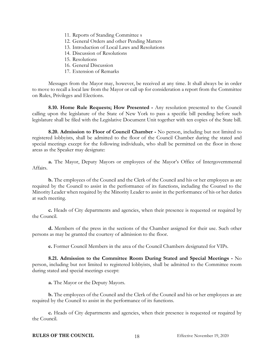- 11. Reports of Standing Committee s
- 12. General Orders and other Pending Matters
- 13. Introduction of Local Laws and Resolutions
- 14. Discussion of Resolutions
- 15. Resolutions
- 16. General Discussion
- 17. Extension of Remarks

Messages from the Mayor may, however, be received at any time. It shall always be in order to move to recall a local law from the Mayor or call up for consideration a report from the Committee on Rules, Privileges and Elections.

<span id="page-22-0"></span>**8.10. Home Rule Requests; How Presented -** Any resolution presented to the Council calling upon the legislature of the State of New York to pass a specific bill pending before such legislature shall be filed with the Legislative Document Unit together with ten copies of the State bill.

<span id="page-22-1"></span>**8.20. Admission to Floor of Council Chamber -** No person, including but not limited to registered lobbyists, shall be admitted to the floor of the Council Chamber during the stated and special meetings except for the following individuals, who shall be permitted on the floor in those areas as the Speaker may designate:

**a.** The Mayor, Deputy Mayors or employees of the Mayor's Office of Intergovernmental Affairs.

**b.** The employees of the Council and the Clerk of the Council and his or her employees as are required by the Council to assist in the performance of its functions, including the Counsel to the Minority Leader when required by the Minority Leader to assist in the performance of his or her duties at such meeting.

**c.** Heads of City departments and agencies, when their presence is requested or required by the Council.

**d.** Members of the press in the sections of the Chamber assigned for their use. Such other persons as may be granted the courtesy of admission to the floor.

**e.** Former Council Members in the area of the Council Chambers designated for VIPs.

<span id="page-22-2"></span>**8.21. Admission to the Committee Room During Stated and Special Meetings -** No person, including but not limited to registered lobbyists, shall be admitted to the Committee room during stated and special meetings except:

**a.** The Mayor or the Deputy Mayors.

**b.** The employees of the Council and the Clerk of the Council and his or her employees as are required by the Council to assist in the performance of its functions.

**c.** Heads of City departments and agencies, when their presence is requested or required by the Council.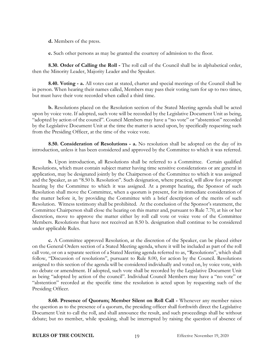**d.** Members of the press.

**e.** Such other persons as may be granted the courtesy of admission to the floor.

<span id="page-23-0"></span>**8.30. Order of Calling the Roll -** The roll call of the Council shall be in alphabetical order, then the Minority Leader, Majority Leader and the Speaker.

<span id="page-23-1"></span>**8.40. Voting - a.** All votes cast at stated, charter and special meetings of the Council shall be in person. When hearing their names called, Members may pass their voting turn for up to two times, but must have their vote recorded when called a third time.

**b.** Resolutions placed on the Resolution section of the Stated Meeting agenda shall be acted upon by voice vote. If adopted, such vote will be recorded by the Legislative Document Unit as being, "adopted by action of the council". Council Members may have a "no vote" or "abstention" recorded by the Legislative Document Unit at the time the matter is acted upon, by specifically requesting such from the Presiding Officer, at the time of the voice vote.

<span id="page-23-2"></span>**8.50. Consideration of Resolutions - a.** No resolution shall be adopted on the day of its introduction, unless it has been considered and approved by the Committee to which it was referred.

**b.** Upon introduction, all Resolutions shall be referred to a Committee. Certain qualified Resolutions, which must contain subject matter having time sensitive considerations or are general in application, may be designated jointly by the Chairperson of the Committee to which it was assigned and the Speaker, as an "8.50 b. Resolution". Such designation, where practical, will allow for a prompt hearing by the Committee to which it was assigned. At a prompt hearing, the Sponsor of such Resolution shall move the Committee, when a quorum is present, for its immediate consideration of the matter before it, by providing the Committee with a brief description of the merits of such Resolution. Witness testimony shall be prohibited. At the conclusion of the Sponsor's statement, the Committee Chairperson shall close the hearing on this matter and, pursuant to Rule 7.70, at his or her discretion, move to approve the matter either by roll call vote or voice vote of the Committee Members. Resolutions that have not received an 8.50 b. designation shall continue to be considered under applicable Rules.

**c.** A Committee approved Resolution, at the discretion of the Speaker, can be placed either on the General Orders section of a Stated Meeting agenda, where it will be included as part of the roll call vote, or on a separate section of a Stated Meeting agenda referred to as, "Resolutions", which shall follow, "Discussion of resolutions", pursuant to Rule 8.00, for action by the Council. Resolutions assigned to this section of the agenda will be considered individually and voted on, by voice vote, with no debate or amendment. If adopted, such vote shall be recorded by the Legislative Document Unit as being "adopted by action of the council". Individual Council Members may have a "no vote" or "abstention" recorded at the specific time the resolution is acted upon by requesting such of the Presiding Officer.

<span id="page-23-3"></span>**8.60. Presence of Quorum; Member Silent on Roll Call -** Whenever any member raises the question as to the presence of a quorum, the presiding officer shall forthwith direct the Legislative Document Unit to call the roll, and shall announce the result, and such proceedings shall be without debate; but no member, while speaking, shall be interrupted by raising the question of absence of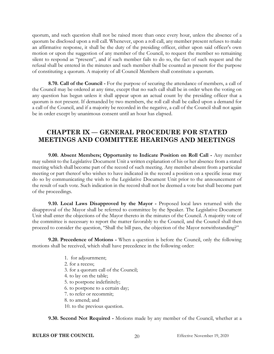quorum, and such question shall not be raised more than once every hour, unless the absence of a quorum be disclosed upon a roll call. Whenever, upon a roll call, any member present refuses to make an affirmative response, it shall be the duty of the presiding officer, either upon said officer's own motion or upon the suggestion of any member of the Council, to request the member so remaining silent to respond as "present", and if such member fails to do so, the fact of such request and the refusal shall be entered in the minutes and such member shall be counted as present for the purpose of constituting a quorum. A majority of all Council Members shall constitute a quorum.

<span id="page-24-0"></span>**8.70. Call of the Council -** For the purpose of securing the attendance of members, a call of the Council may be ordered at any time, except that no such call shall be in order when the voting on any question has begun unless it shall appear upon an actual count by the presiding officer that a quorum is not present. If demanded by two members, the roll call shall be called upon a demand for a call of the Council, and if a majority be recorded in the negative, a call of the Council shall not again be in order except by unanimous consent until an hour has elapsed.

## <span id="page-24-1"></span>**CHAPTER IX — GENERAL PROCEDURE FOR STATED MEETINGS AND COMMITTEE HEARINGS AND MEETINGS**

<span id="page-24-2"></span>**9.00. Absent Members; Opportunity to Indicate Position on Roll Call -** Any member may submit to the Legislative Document Unit a written explanation of his or her absence from a stated meeting which shall become part of the record of such meeting. Any member absent from a particular meeting or part thereof who wishes to have indicated in the record a position on a specific issue may do so by communicating the wish to the Legislative Document Unit prior to the announcement of the result of such vote. Such indication in the record shall not be deemed a vote but shall become part of the proceedings.

**9.10. Local Laws Disapproved by the Mayor -** Proposed local laws returned with the disapproval of the Mayor shall be referred to committee by the Speaker. The Legislative Document Unit shall enter the objections of the Mayor thereto in the minutes of the Council. A majority vote of the committee is necessary to report the matter favorably to the Council, and the Council shall then proceed to consider the question, "Shall the bill pass, the objection of the Mayor notwithstanding?"

<span id="page-24-3"></span>**9.20. Precedence of Motions -** When a question is before the Council, only the following motions shall be received, which shall have precedence in the following order:

- 1. for adjournment;
- 2. for a recess;
- 3. for a quorum call of the Council;
- 4. to lay on the table;
- 5. to postpone indefinitely;
- 6. to postpone to a certain day;
- 7. to refer or recommit;
- 8. to amend; and
- 10. to the previous question.

<span id="page-24-4"></span>**9.30. Second Not Required -** Motions made by any member of the Council, whether at a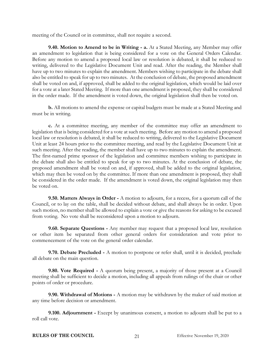meeting of the Council or in committee, shall not require a second.

<span id="page-25-0"></span>**9.40. Motion to Amend to be in Writing - a.** At a Stated Meeting, any Member may offer an amendment to legislation that is being considered for a vote on the General Orders Calendar. Before any motion to amend a proposed local law or resolution is debated, it shall be reduced to writing, delivered to the Legislative Document Unit and read. After the reading, the Member shall have up to two minutes to explain the amendment. Members wishing to participate in the debate shall also be entitled to speak for up to two minutes. At the conclusion of debate, the proposed amendment shall be voted on and, if approved, shall be added to the original legislation, which would be laid over for a vote at a later Stated Meeting. If more than one amendment is proposed, they shall be considered in the order made. If the amendment is voted down, the original legislation shall then be voted on.

**b.** All motions to amend the expense or capital budgets must be made at a Stated Meeting and must be in writing.

**c.** At a committee meeting, any member of the committee may offer an amendment to legislation that is being considered for a vote at such meeting. Before any motion to amend a proposed local law or resolution is debated, it shall be reduced to writing, delivered to the Legislative Document Unit at least 24 hours prior to the committee meeting, and read by the Legislative Document Unit at such meeting. After the reading, the member shall have up to two minutes to explain the amendment. The first-named prime sponsor of the legislation and committee members wishing to participate in the debate shall also be entitled to speak for up to two minutes. At the conclusion of debate, the proposed amendment shall be voted on and, if approved, shall be added to the original legislation, which may then be voted on by the committee. If more than one amendment is proposed, they shall be considered in the order made. If the amendment is voted down, the original legislation may then be voted on.

<span id="page-25-1"></span>**9.50. Matters Always in Order -** A motion to adjourn, for a recess, for a quorum call of the Council, or to lay on the table, shall be decided without debate, and shall always be in order. Upon such motion, no member shall be allowed to explain a vote or give the reasons for asking to be excused from voting. No vote shall be reconsidered upon a motion to adjourn.

<span id="page-25-2"></span>**9.60. Separate Questions -** Any member may request that a proposed local law, resolution or other item be separated from other general orders for consideration and vote prior to commencement of the vote on the general order calendar.

<span id="page-25-3"></span>**9.70. Debate Precluded -** A motion to postpone or refer shall, until it is decided, preclude all debate on the main question.

<span id="page-25-4"></span>**9.80. Vote Required -** A quorum being present, a majority of those present at a Council meeting shall be sufficient to decide a motion, including all appeals from rulings of the chair or other points of order or procedure.

<span id="page-25-5"></span>**9.90. Withdrawal of Motions -** A motion may be withdrawn by the maker of said motion at any time before decision or amendment.

<span id="page-25-6"></span>**9.100. Adjournment -** Except by unanimous consent, a motion to adjourn shall be put to a roll call vote.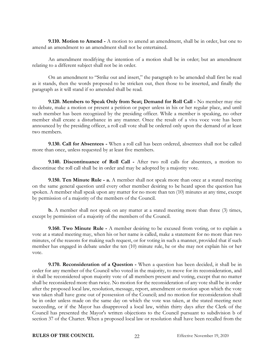<span id="page-26-0"></span>**9.110. Motion to Amend -** A motion to amend an amendment, shall be in order, but one to amend an amendment to an amendment shall not be entertained.

An amendment modifying the intention of a motion shall be in order; but an amendment relating to a different subject shall not be in order.

On an amendment to "Strike out and insert," the paragraph to be amended shall first be read as it stands, then the words proposed to be stricken out, then those to be inserted, and finally the paragraph as it will stand if so amended shall be read.

**9.120. Members to Speak Only from Seat; Demand for Roll Call -** No member may rise to debate, make a motion or present a petition or paper unless in his or her regular place, and until such member has been recognized by the presiding officer. While a member is speaking, no other member shall create a disturbance in any manner. Once the result of a viva voce vote has been announced by the presiding officer, a roll call vote shall be ordered only upon the demand of at least two members.

<span id="page-26-1"></span>**9.130. Call for Absentees -** When a roll call has been ordered, absentees shall not be called more than once, unless requested by at least five members.

<span id="page-26-2"></span>**9.140. Discontinuance of Roll Call -** After two roll calls for absentees, a motion to discontinue the roll call shall be in order and may be adopted by a majority vote.

<span id="page-26-3"></span>**9.150. Ten Minute Rule - a.** A member shall not speak more than once at a stated meeting on the same general question until every other member desiring to be heard upon the question has spoken. A member shall speak upon any matter for no more than ten (10) minutes at any time, except by permission of a majority of the members of the Council.

**b.** A member shall not speak on any matter at a stated meeting more than three (3) times, except by permission of a majority of the members of the Council.

<span id="page-26-4"></span>**9.160. Two Minute Rule -** A member desiring to be excused from voting, or to explain a vote at a stated meeting may, when his or her name is called, make a statement for no more than two minutes, of the reasons for making such request, or for voting in such a manner, provided that if such member has engaged in debate under the ten (10) minute rule, he or she may not explain his or her vote.

<span id="page-26-5"></span>**9.170. Reconsideration of a Question -** When a question has been decided, it shall be in order for any member of the Council who voted in the majority, to move for its reconsideration, and it shall be reconsidered upon majority vote of all members present and voting, except that no matter shall be reconsidered more than twice. No motion for the reconsideration of any vote shall be in order after the proposed local law, resolution, message, report, amendment or motion upon which the vote was taken shall have gone out of possession of the Council; and no motion for reconsideration shall be in order unless made on the same day on which the vote was taken, at the stated meeting next succeeding, or if the Mayor has disapproved a local law, within thirty days after the Clerk of the Council has presented the Mayor's written objections to the Council pursuant to subdivision b of section 37 of the Charter. When a proposed local law or resolution shall have been recalled from the

#### **RULES OF THE COUNCIL** 22 Effective November 19, 2020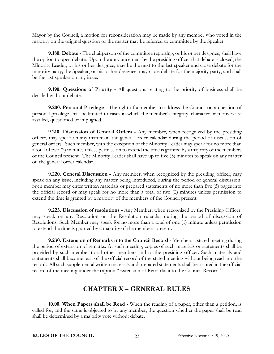Mayor by the Council, a motion for reconsideration may be made by any member who voted in the majority on the original question or the matter may be referred to committee by the Speaker.

**9.180. Debate -** The chairperson of the committee reporting, or his or her designee, shall have the option to open debate. Upon the announcement by the presiding officer that debate is closed, the Minority Leader, or his or her designee, may be the next to the last speaker and close debate for the minority party; the Speaker, or his or her designee, may close debate for the majority party, and shall be the last speaker on any issue.

<span id="page-27-0"></span>**9.190. Questions of Priority -** All questions relating to the priority of business shall be decided without debate.

<span id="page-27-1"></span>**9.200. Personal Privilege -** The right of a member to address the Council on a question of personal privilege shall be limited to cases in which the member's integrity, character or motives are assailed, questioned or impugned.

<span id="page-27-2"></span>**9.210. Discussion of General Orders -** Any member, when recognized by the presiding officer, may speak on any matter on the general order calendar during the period of discussion of general orders. Such member, with the exception of the Minority Leader may speak for no more than a total of two (2) minutes unless permission to extend the time is granted by a majority of the members of the Council present. The Minority Leader shall have up to five (5) minutes to speak on any matter on the general order calendar.

<span id="page-27-3"></span>**9.220. General Discussion -** Any member, when recognized by the presiding officer, may speak on any issue, including any matter being introduced, during the period of general discussion. Such member may enter written materials or prepared statements of no more than five (5) pages into the official record or may speak for no more than a total of two (2) minutes unless permission to extend the time is granted by a majority of the members of the Council present.

<span id="page-27-4"></span>**9.225. Discussion of resolutions -** Any Member, when recognized by the Presiding Officer, may speak on any Resolution on the Resolution calendar during the period of discussion of Resolutions. Such Member may speak for no more than a total of one (1) minute unless permission to extend the time is granted by a majority of the members present.

<span id="page-27-5"></span>**9.230. Extension of Remarks into the Council Record -** Members a stated meeting during the period of extension of remarks. At such meeting, copies of such materials or statements shall be provided by such member to all other members and to the presiding officer. Such materials and statements shall become part of the official record of the stated meeting without being read into the record. All such supplemental written materials and prepared statements shall be printed in the official record of the meeting under the caption "Extension of Remarks into the Council Record."

### **CHAPTER X – GENERAL RULES**

<span id="page-27-7"></span><span id="page-27-6"></span>**10.00. When Papers shall be Read -** When the reading of a paper, other than a petition, is called for, and the same is objected to by any member, the question whether the paper shall be read shall be determined by a majority vote without debate.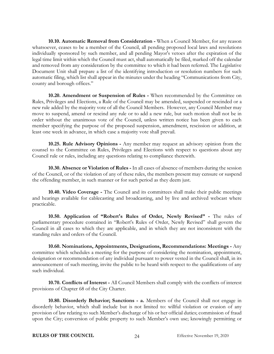<span id="page-28-0"></span>**10.10. Automatic Removal from Consideration -** When a Council Member, for any reason whatsoever, ceases to be a member of the Council, all pending proposed local laws and resolutions individually sponsored by such member, and all pending Mayor's vetoes after the expiration of the legal time limit within which the Council must act, shall automatically be filed, marked off the calendar and removed from any consideration by the committee to which it had been referred. The Legislative Document Unit shall prepare a list of the identifying introduction or resolution numbers for such automatic filing, which list shall appear in the minutes under the heading "Communications from City, county and borough offices."

<span id="page-28-1"></span>**10.20. Amendment or Suspension of Rules -** When recommended by the Committee on Rules, Privileges and Elections, a Rule of the Council may be amended, suspended or rescinded or a new rule added by the majority vote of all the Council Members. However, any Council Member may move to suspend, amend or rescind any rule or to add a new rule, but such motion shall not be in order without the unanimous vote of the Council, unless written notice has been given to each member specifying the purpose of the proposed suspension, amendment, rescission or addition, at least one week in advance, in which case a majority vote shall prevail.

<span id="page-28-2"></span>**10.25. Rule Advisory Opinions -** Any member may request an advisory opinion from the counsel to the Committee on Rules, Privileges and Elections with respect to questions about any Council rule or rules, including any questions relating to compliance therewith.

<span id="page-28-3"></span>**10.30. Absence or Violation of Rules -** In all cases of absence of members during the session of the Council, or of the violation of any of these rules, the members present may censure or suspend the offending member, in such manner or for such period as they deem just.

<span id="page-28-4"></span>**10.40. Video Coverage -** The Council and its committees shall make their public meetings and hearings available for cablecasting and broadcasting, and by live and archived webcast where practicable.

<span id="page-28-5"></span>**10.50. Application of "Robert's Rules of Order, Newly Revised" -** The rules of parliamentary procedure contained in "Robert's Rules of Order, Newly Revised" shall govern the Council in all cases to which they are applicable, and in which they are not inconsistent with the standing rules and orders of the Council.

<span id="page-28-6"></span>**10.60. Nominations, Appointments, Designations, Recommendations: Meetings -** Any committee which schedules a meeting for the purpose of considering the nomination, appointment, designation or recommendation of any individual pursuant to power vested in the Council shall, in its announcement of such meeting, invite the public to be heard with respect to the qualifications of any such individual.

<span id="page-28-7"></span>**10.70. Conflicts of Interest -** All Council Members shall comply with the conflicts of interest provisions of Chapter 68 of the City Charter.

<span id="page-28-8"></span>**10.80. Disorderly Behavior; Sanctions - a.** Members of the Council shall not engage in disorderly behavior, which shall include but is not limited to: willful violation or evasion of any provision of law relating to such Member's discharge of his or her official duties; commission of fraud upon the City; conversion of public property to such Member's own use; knowingly permitting or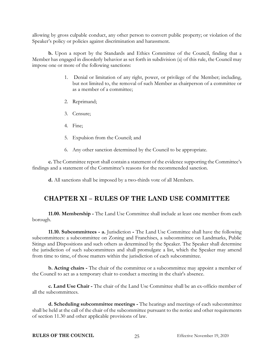allowing by gross culpable conduct, any other person to convert public property; or violation of the Speaker's policy or policies against discrimination and harassment.

**b.** Upon a report by the Standards and Ethics Committee of the Council, finding that a Member has engaged in disorderly behavior as set forth in subdivision (a) of this rule, the Council may impose one or more of the following sanctions:

- 1. Denial or limitation of any right, power, or privilege of the Member; including, but not limited to, the removal of such Member as chairperson of a committee or as a member of a committee;
- 2. Reprimand;
- 3. Censure;
- 4. Fine;
- 5. Expulsion from the Council; and
- 6. Any other sanction determined by the Council to be appropriate.

**c.** The Committee report shall contain a statement of the evidence supporting the Committee's findings and a statement of the Committee's reasons for the recommended sanction.

**d.** All sanctions shall be imposed by a two-thirds vote of all Members.

# <span id="page-29-0"></span>**CHAPTER XI – RULES OF THE LAND USE COMMITTEE**

<span id="page-29-1"></span>**11.00. Membership -** The Land Use Committee shall include at least one member from each borough.

<span id="page-29-2"></span>**11.10. Subcommittees - a.** Jurisdiction **-** The Land Use Committee shall have the following subcommittees: a subcommittee on Zoning and Franchises, a subcommittee on Landmarks, Public Sitings and Dispositions and such others as determined by the Speaker. The Speaker shall determine the jurisdiction of such subcommittees and shall promulgate a list, which the Speaker may amend from time to time, of those matters within the jurisdiction of each subcommittee.

**b. Acting chairs -** The chair of the committee or a subcommittee may appoint a member of the Council to act as a temporary chair to conduct a meeting in the chair's absence.

**c. Land Use Chair -** The chair of the Land Use Committee shall be an ex-officio member of all the subcommittees.

**d. Scheduling subcommittee meetings -** The hearings and meetings of each subcommittee shall be held at the call of the chair of the subcommittee pursuant to the notice and other requirements of section 11.30 and other applicable provisions of law.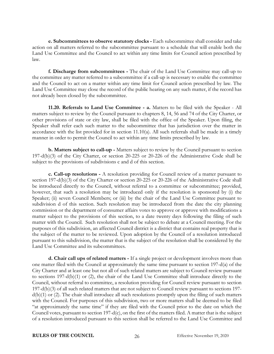**e. Subcommittees to observe statutory clocks -** Each subcommittee shall consider and take action on all matters referred to the subcommittee pursuant to a schedule that will enable both the Land Use Committee and the Council to act within any time limits for Council action prescribed by law.

**f. Discharge from subcommittees -** The chair of the Land Use Committee may call-up to the committee any matter referred to a subcommittee if a call-up is necessary to enable the committee and the Council to act on a matter within any time limit for Council action prescribed by law. The Land Use Committee may close the record of the public hearing on any such matter, if the record has not already been closed by the subcommittee.

<span id="page-30-0"></span>**11.20. Referrals to Land Use Committee - a.** Matters to be filed with the Speaker - All matters subject to review by the Council pursuant to chapters 8, 14, 56 and 74 of the City Charter, or other provisions of state or city law, shall be filed with the office of the Speaker. Upon filing, the Speaker shall refer each such matter to the subcommittee that has jurisdiction over the matter in accordance with the list provided for in section 11.10(a). All such referrals shall be made in a timely manner in order to permit the Council to act within any time limits prescribed by law.

**b. Matters subject to call-up -** Matters subject to review by the Council pursuant to section 197-d(b)(3) of the City Charter, or section 20-225 or 20-226 of the Administrative Code shall be subject to the provisions of subdivisions c and d of this section.

**c. Call-up resolutions -** A resolution providing for Council review of a matter pursuant to section 197-d(b)(3) of the City Charter or section 20-225 or 20-226 of the Administrative Code shall be introduced directly to the Council, without referral to a committee or subcommittee; provided, however, that such a resolution may be introduced only if the resolution is sponsored by (i) the Speaker; (ii) seven Council Members; or (iii) by the chair of the Land Use Committee pursuant to subdivision d of this section. Such resolution may be introduced from the date the city planning commission or the department of consumer affairs votes to approve or approve with modifications a matter subject to the provisions of this section, to a date twenty days following the filing of such matter with the Council. Such resolution shall not be subject to debate at a Council meeting. For the purposes of this subdivision, an affected Council district is a district that contains real property that is the subject of the matter to be reviewed. Upon adoption by the Council of a resolution introduced pursuant to this subdivision, the matter that is the subject of the resolution shall be considered by the Land Use Committee and its subcommittees.

**d. Chair call ups of related matters -** If a single project or development involves more than one matter filed with the Council at approximately the same time pursuant to section 197-d(a) of the City Charter and at least one but not all of such related matters are subject to Council review pursuant to sections 197-d(b)(1) or (2), the chair of the Land Use Committee shall introduce directly to the Council, without referral to committee, a resolution providing for Council review pursuant to section 197-d(b)(3) of all such related matters that are not subject to Council review pursuant to sections 197 d(b)(1) or (2). The chair shall introduce all such resolutions promptly upon the filing of such matters with the Council. For purposes of this subdivision, two or more matters shall be deemed to be filed "at approximately the same time" if they are filed with the Council prior to the date on which the Council votes, pursuant to section 197-d(c), on the first of the matters filed. A matter that is the subject of a resolution introduced pursuant to this section shall be referred to the Land Use Committee and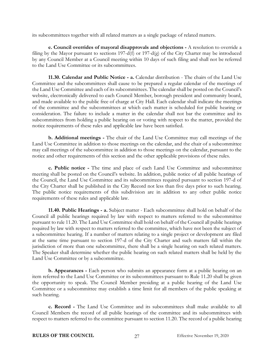its subcommittees together with all related matters as a single package of related matters.

**e. Council overrides of mayoral disapprovals and objections -** A resolution to override a filing by the Mayor pursuant to sections 197-d(f) or 197-d(g) of the City Charter may be introduced by any Council Member at a Council meeting within 10 days of such filing and shall not be referred to the Land Use Committee or its subcommittees.

<span id="page-31-0"></span>**11.30. Calendar and Public Notice - a.** Calendar distribution - The chairs of the Land Use Committee and the subcommittees shall cause to be prepared a regular calendar of the meetings of the Land Use Committee and each of its subcommittees. The calendar shall be posted on the Council's website, electronically delivered to each Council Member, borough president and community board, and made available to the public free of charge at City Hall. Each calendar shall indicate the meetings of the committee and the subcommittees at which each matter is scheduled for public hearing or consideration. The failure to include a matter in the calendar shall not bar the committee and its subcommittees from holding a public hearing on or voting with respect to the matter, provided the notice requirements of these rules and applicable law have been satisfied.

**b. Additional meetings -** The chair of the Land Use Committee may call meetings of the Land Use Committee in addition to those meetings on the calendar, and the chair of a subcommittee may call meetings of the subcommittee in addition to those meetings on the calendar, pursuant to the notice and other requirements of this section and the other applicable provisions of these rules.

**c. Public notice -** The time and place of each Land Use Committee and subcommittee meeting shall be posted on the Council's website. In addition, public notice of all public hearings of the Council, the Land Use Committee and its subcommittees required pursuant to section 197-d of the City Charter shall be published in the City Record not less than five days prior to such hearing. The public notice requirements of this subdivision are in addition to any other public notice requirements of these rules and applicable law.

<span id="page-31-1"></span>**11.40. Public Hearings - a.** Subject matter - Each subcommittee shall hold on behalf of the Council all public hearings required by law with respect to matters referred to the subcommittee pursuant to rule 11.20. The Land Use Committee shall hold on behalf of the Council all public hearings required by law with respect to matters referred to the committee, which have not been the subject of a subcommittee hearing. If a number of matters relating to a single project or development are filed at the same time pursuant to section 197-d of the City Charter and such matters fall within the jurisdiction of more than one subcommittee, there shall be a single hearing on such related matters. The Speaker shall determine whether the public hearing on such related matters shall be held by the Land Use Committee or by a subcommittee.

**b. Appearances -** Each person who submits an appearance form at a public hearing on an item referred to the Land Use Committee or its subcommittees pursuant to Rule 11.20 shall be given the opportunity to speak. The Council Member presiding at a public hearing of the Land Use Committee or a subcommittee may establish a time limit for all members of the public speaking at such hearing.

**c. Record -** The Land Use Committee and its subcommittees shall make available to all Council Members the record of all public hearings of the committee and its subcommittees with respect to matters referred to the committee pursuant to section 11.20. The record of a public hearing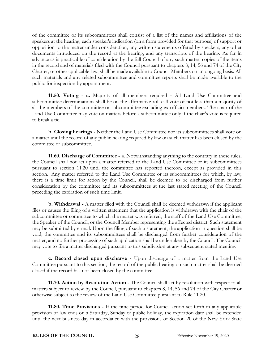of the committee or its subcommittees shall consist of a list of the names and affiliations of the speakers at the hearing, each speaker's indication (on a form provided for that purpose) of support or opposition to the matter under consideration, any written statements offered by speakers, any other documents introduced on the record at the hearing, and any transcripts of the hearing. As far in advance as is practicable of consideration by the full Council of any such matter, copies of the items in the record and of materials filed with the Council pursuant to chapters 8, 14, 56 and 74 of the City Charter, or other applicable law, shall be made available to Council Members on an ongoing basis. All such materials and any related subcommittee and committee reports shall be made available to the public for inspection by appointment.

<span id="page-32-0"></span>**11.50. Voting - a.** Majority of all members required **-** All Land Use Committee and subcommittee determinations shall be on the affirmative roll call vote of not less than a majority of all the members of the committee or subcommittee excluding ex-officio members. The chair of the Land Use Committee may vote on matters before a subcommittee only if the chair's vote is required to break a tie.

**b. Closing hearings -** Neither the Land Use Committee nor its subcommittees shall vote on a matter until the record of any public hearing required by law on such matter has been closed by the committee or subcommittee.

<span id="page-32-1"></span>**11.60. Discharge of Committee - a.** Notwithstanding anything to the contrary in these rules, the Council shall not act upon a matter referred to the Land Use Committee or its subcommittees pursuant to section 11.20 until the committee has reported thereon, except as provided in this section. Any matter referred to the Land Use Committee or its subcommittees for which, by law, there is a time limit for action by the Council, shall be deemed to be discharged from further consideration by the committee and its subcommittees at the last stated meeting of the Council preceding the expiration of such time limit.

**b. Withdrawal -** A matter filed with the Council shall be deemed withdrawn if the applicant files or causes the filing of a written statement that the application is withdrawn with the chair of the subcommittee or committee to which the matter was referred, the staff of the Land Use Committee, the Speaker of the Council, or the Council Member representing the affected district. Such statement may be submitted by e-mail. Upon the filing of such a statement, the application in question shall be void, the committee and its subcommittees shall be discharged from further consideration of the matter, and no further processing of such application shall be undertaken by the Council. The Council may vote to file a matter discharged pursuant to this subdivision at any subsequent stated meeting.

**c. Record closed upon discharge -** Upon discharge of a matter from the Land Use Committee pursuant to this section, the record of the public hearing on such matter shall be deemed closed if the record has not been closed by the committee.

<span id="page-32-2"></span>**11.70. Action by Resolution Action -** The Council shall act by resolution with respect to all matters subject to review by the Council, pursuant to chapters 8, 14, 56 and 74 of the City Charter or otherwise subject to the review of the Land Use Committee pursuant to Rule 11.20.

<span id="page-32-3"></span>**11.80. Time Provisions -** If the time period for Council action set forth in any applicable provision of law ends on a Saturday, Sunday or public holiday, the expiration date shall be extended until the next business day in accordance with the provisions of Section 20 of the New York State